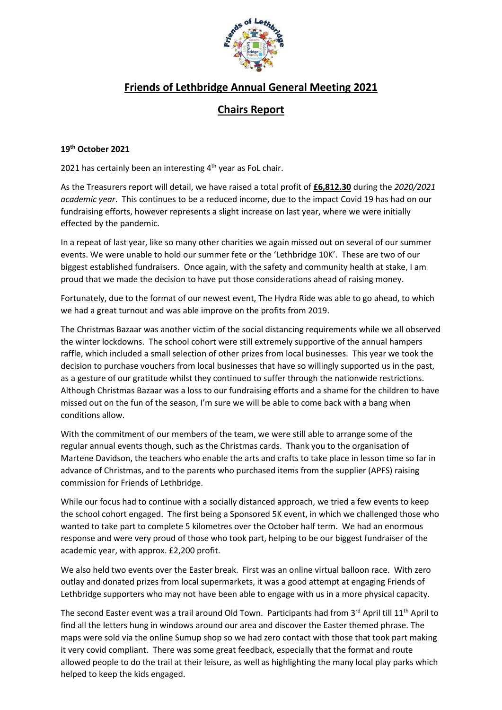

## **Friends of Lethbridge Annual General Meeting 2021**

## **Chairs Report**

## **19th October 2021**

2021 has certainly been an interesting 4<sup>th</sup> year as FoL chair.

As the Treasurers report will detail, we have raised a total profit of **£6,812.30** during the *2020/2021 academic year*. This continues to be a reduced income, due to the impact Covid 19 has had on our fundraising efforts, however represents a slight increase on last year, where we were initially effected by the pandemic.

In a repeat of last year, like so many other charities we again missed out on several of our summer events. We were unable to hold our summer fete or the 'Lethbridge 10K'. These are two of our biggest established fundraisers. Once again, with the safety and community health at stake, I am proud that we made the decision to have put those considerations ahead of raising money.

Fortunately, due to the format of our newest event, The Hydra Ride was able to go ahead, to which we had a great turnout and was able improve on the profits from 2019.

The Christmas Bazaar was another victim of the social distancing requirements while we all observed the winter lockdowns. The school cohort were still extremely supportive of the annual hampers raffle, which included a small selection of other prizes from local businesses. This year we took the decision to purchase vouchers from local businesses that have so willingly supported us in the past, as a gesture of our gratitude whilst they continued to suffer through the nationwide restrictions. Although Christmas Bazaar was a loss to our fundraising efforts and a shame for the children to have missed out on the fun of the season, I'm sure we will be able to come back with a bang when conditions allow.

With the commitment of our members of the team, we were still able to arrange some of the regular annual events though, such as the Christmas cards. Thank you to the organisation of Martene Davidson, the teachers who enable the arts and crafts to take place in lesson time so far in advance of Christmas, and to the parents who purchased items from the supplier (APFS) raising commission for Friends of Lethbridge.

While our focus had to continue with a socially distanced approach, we tried a few events to keep the school cohort engaged. The first being a Sponsored 5K event, in which we challenged those who wanted to take part to complete 5 kilometres over the October half term. We had an enormous response and were very proud of those who took part, helping to be our biggest fundraiser of the academic year, with approx. £2,200 profit.

We also held two events over the Easter break. First was an online virtual balloon race. With zero outlay and donated prizes from local supermarkets, it was a good attempt at engaging Friends of Lethbridge supporters who may not have been able to engage with us in a more physical capacity.

The second Easter event was a trail around Old Town. Participants had from 3rd April till 11<sup>th</sup> April to find all the letters hung in windows around our area and discover the Easter themed phrase. The maps were sold via the online Sumup shop so we had zero contact with those that took part making it very covid compliant. There was some great feedback, especially that the format and route allowed people to do the trail at their leisure, as well as highlighting the many local play parks which helped to keep the kids engaged.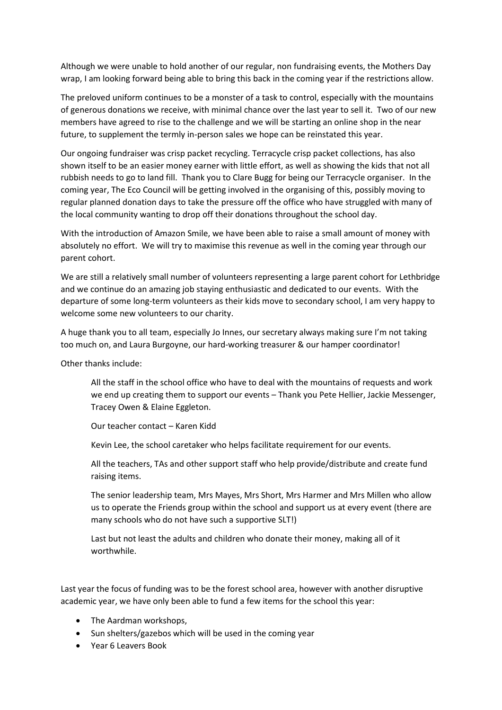Although we were unable to hold another of our regular, non fundraising events, the Mothers Day wrap, I am looking forward being able to bring this back in the coming year if the restrictions allow.

The preloved uniform continues to be a monster of a task to control, especially with the mountains of generous donations we receive, with minimal chance over the last year to sell it. Two of our new members have agreed to rise to the challenge and we will be starting an online shop in the near future, to supplement the termly in-person sales we hope can be reinstated this year.

Our ongoing fundraiser was crisp packet recycling. Terracycle crisp packet collections, has also shown itself to be an easier money earner with little effort, as well as showing the kids that not all rubbish needs to go to land fill. Thank you to Clare Bugg for being our Terracycle organiser. In the coming year, The Eco Council will be getting involved in the organising of this, possibly moving to regular planned donation days to take the pressure off the office who have struggled with many of the local community wanting to drop off their donations throughout the school day.

With the introduction of Amazon Smile, we have been able to raise a small amount of money with absolutely no effort. We will try to maximise this revenue as well in the coming year through our parent cohort.

We are still a relatively small number of volunteers representing a large parent cohort for Lethbridge and we continue do an amazing job staying enthusiastic and dedicated to our events. With the departure of some long-term volunteers as their kids move to secondary school, I am very happy to welcome some new volunteers to our charity.

A huge thank you to all team, especially Jo Innes, our secretary always making sure I'm not taking too much on, and Laura Burgoyne, our hard-working treasurer & our hamper coordinator!

Other thanks include:

All the staff in the school office who have to deal with the mountains of requests and work we end up creating them to support our events – Thank you Pete Hellier, Jackie Messenger, Tracey Owen & Elaine Eggleton.

Our teacher contact – Karen Kidd

Kevin Lee, the school caretaker who helps facilitate requirement for our events.

All the teachers, TAs and other support staff who help provide/distribute and create fund raising items.

The senior leadership team, Mrs Mayes, Mrs Short, Mrs Harmer and Mrs Millen who allow us to operate the Friends group within the school and support us at every event (there are many schools who do not have such a supportive SLT!)

Last but not least the adults and children who donate their money, making all of it worthwhile.

Last year the focus of funding was to be the forest school area, however with another disruptive academic year, we have only been able to fund a few items for the school this year:

- The Aardman workshops,
- Sun shelters/gazebos which will be used in the coming year
- Year 6 Leavers Book